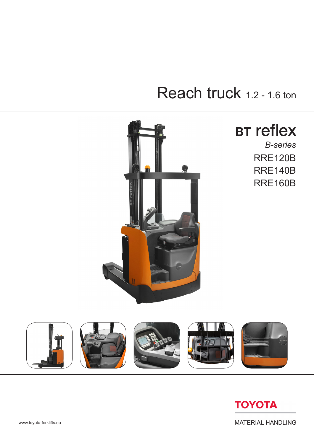# Reach truck 1.2 - 1.6 ton



## **BT reflex**

RRE120B RRE140B RRE160B *B-series*





**MATERIAL HANDLING**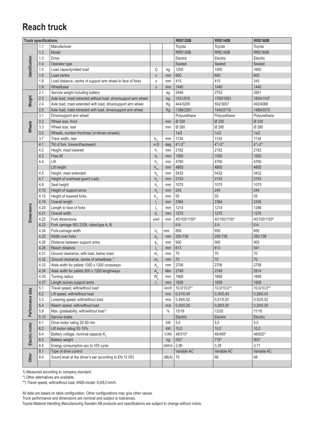#### **Reach truck**

| Toyota<br>1.1<br>Manufacturer<br>Toyota<br>Toyota<br>1.2<br><b>RRE160B</b><br><b>RRE120B</b><br><b>RRE140B</b><br>Model<br>dentification<br>1.3<br><b>Drive</b><br>Electric<br>Electric<br>Electric<br>Seated<br>1.4<br>Seated<br>Seated<br>Operator type<br>1600<br>Load capacity/rated load<br>Q<br>1200<br>1400<br>1.5<br>kg<br>600<br>1.6<br>Load centre<br>600<br>600<br>$\mathtt{C}$<br>mm<br>343<br>415<br>415<br>1.8<br>Load distance, centre of support arm wheel to face of forks<br>X<br>mm<br>1440<br>1440<br>1.9<br>1440<br>Wheelbase<br>$\mathsf{V}$<br>mm<br>2.1<br>2446<br>2753<br>2951<br>Service weight including battery<br>kg<br>Weight<br>2.3<br>Axle load, mast retracted without load, drive/support arm wheel<br>1531/915<br>1700/1053<br>1804/1147<br>kg<br>444/3205<br>502/3657<br>492/4068<br>2.4<br>Axle load, mast extended with load, drive/support arm wheel<br>Kg<br>1388/2261<br>2.5<br>1440/2718<br>1489/3070<br>Axle load, mast retracted with load, drive/support arm wheel<br>Kg<br>3.1<br>Polyurethane<br>Polyurethane<br>Polyurethane<br>Drive/support arm wheel<br>Ø 330<br>3.2<br>Ø 330<br>Ø 330<br>Wheel size, front<br>mm<br>Wheels<br>Ø 280<br>Ø 280<br>Ø 280<br>3.3<br>Wheel size, rear<br>mm<br>1x/2<br>1x/2<br>1x/2<br>3.5<br>Wheels, number front/rear (x=driven wheels)<br>1134<br>1134<br>1134<br>3.7<br>Track width, rear<br>$b_{11}$<br>mm<br>$4^{\circ}/-2^{\circ}$<br>$4^{\circ}/-2^{\circ}$<br>$4^{\circ}/-2^{\circ}$<br>4.1<br>$\alpha/\beta$<br>Tilt of fork, forward/backward<br>deg<br>2182<br>2182<br>4.2<br>2182<br>Height, mast lowered<br>$h_{1}$<br>mm<br>4.3<br>1550<br>1550<br>Free lift<br>1550<br>h <sub>2</sub><br>mm<br>Lift<br>4760<br>4760<br>4760<br>4.4<br>h <sub>3</sub><br>mm<br>4800<br>4800<br>4800<br>Lift height<br>$h_{23}$<br>mm<br>5432<br>5432<br>5432<br>4.5<br>Height, mast extended<br>$h_{4}$<br>mm<br>2153<br>2153<br>4.7<br>2153<br>Height of overhead quard (cab)<br>$h_{6}$<br>mm<br>1075<br>4.8<br>1075<br>1075<br>Seat height<br>h <sub>7</sub><br>mm<br>245<br>245<br>4.10<br>Height of support arms<br>245<br>$h_{8}$<br>mm<br>55<br>55<br>Height of lowered forks<br>55<br>4.15<br>$\mathsf{h}_{\mathsf{13}}$<br>mm<br>2364<br>2364<br>2436<br>4.19<br>Overall length<br>mm<br>$I_{1}$<br><b>Dimensions</b><br>1214<br>1214<br>1286<br>4.20<br>Length to face of forks<br>$\mathsf{I}_{2}$<br>mm<br>1270<br>4.21<br>Overall width<br>1270<br>1270<br>b <sub>1</sub><br>mm<br>4.22<br>Fork dimensions<br>40/100/1150*<br>40/100/1150*<br>40/100/1150*<br>s/e/l<br>mm<br>4.23<br><b>IIA</b><br>II A<br><b>IIA</b><br>Fork carriage ISO 2328, class/type A, B<br>850<br>850<br>850<br>4.24<br>Fork-carriage width<br>b <sub>3</sub><br>mm<br>4.25<br>Width over forks<br>250-738<br>250-738<br>250-738<br>b <sub>5</sub><br>mm<br>900<br>900<br>4.26<br>900<br>Distance between support arms<br>$b_{4}$<br>mm<br>613<br>541<br>4.28<br>613<br>Reach distance<br>$\mathsf{I}_{\scriptscriptstyle{A}}$<br>mm<br>70<br>70<br>70<br>Ground clearance, with load, below mast<br>4.31<br>mm<br>m <sub>1</sub><br>$70\,$<br>$70$<br>4.32<br>Ground clearance, centre of wheelbase <sup>1)</sup><br>$70\,$<br>m <sub>2</sub><br>mm<br>4.33<br>Aisle width for pallets 1000 x 1200 crossways<br>2706<br>2706<br>2758<br>A <sub>st</sub><br>mm<br>2749<br>2814<br>4.34<br>Aisle width for pallets 800 x 1200 lengthways<br>2749<br>Mm<br>A <sub>st</sub><br>4.35<br>Turning radius<br>$\mathsf{W}_{\scriptscriptstyle{\mathsf{a}}}$<br>1668<br>1668<br>1668<br>mm<br>4.37<br>Length across support arms<br>1828<br>1828<br>1828<br>mm<br>Travel speed, with/without load<br>$10,0/10,0**$<br>10,0/10,0**<br>$10,0/10,0**$<br>5.1<br>km/h<br>Performance data<br>5.2<br>Lift speed, with/without load<br>0,31/0,43<br>0,30/0,43<br>0,28/0,43<br>m/s<br>5.3<br>Lowering speed, with/without load<br>0,49/0,52<br>0,51/0,52<br>0,52/0,52<br>m/s<br>5.4<br>Reach speed, with/without load<br>0,20/0,20<br>0,20/0,20<br>0,20/0,20<br>m/s<br>Max. gradeability, with/without load <sup>1)</sup><br>15/18<br>12/20<br>11/18<br>5.8<br>$\%$<br>5.10<br>Service brake<br>Electric<br>Electric<br>Electric<br>Drive motor rating S2 60 min<br>$5,0$<br>6.1<br>5,0<br>5,0<br>kW<br>Electric motor<br>10,0<br>Lift motor rating S3 15%<br>10,0<br>10,0<br>6.2<br>kW<br>6.4<br>Battery voltage, nominal capacity K <sub>5</sub><br>V/Ah<br>48/310*<br>48/465*<br>48/620*<br>$552*$<br>719*<br>$903*$<br>6.5<br>Battery weight<br>kg<br>2,99<br>Energy consumption acc to VDI cycle<br>3,29<br>3,71<br>6.6<br>kWh/h<br>8.1<br>Type of drive control<br>Variable AC<br>Variable AC<br>Variable AC<br>Other<br>Sound level at the driver's ear according to EN 12 053<br>68<br>8.4<br>dB(A)<br>70<br>68 | <b>Truck specifications</b> |  | <b>RRE120B</b> | <b>RRE160B</b><br><b>RRE140B</b> |  |  |  |  |  |
|-----------------------------------------------------------------------------------------------------------------------------------------------------------------------------------------------------------------------------------------------------------------------------------------------------------------------------------------------------------------------------------------------------------------------------------------------------------------------------------------------------------------------------------------------------------------------------------------------------------------------------------------------------------------------------------------------------------------------------------------------------------------------------------------------------------------------------------------------------------------------------------------------------------------------------------------------------------------------------------------------------------------------------------------------------------------------------------------------------------------------------------------------------------------------------------------------------------------------------------------------------------------------------------------------------------------------------------------------------------------------------------------------------------------------------------------------------------------------------------------------------------------------------------------------------------------------------------------------------------------------------------------------------------------------------------------------------------------------------------------------------------------------------------------------------------------------------------------------------------------------------------------------------------------------------------------------------------------------------------------------------------------------------------------------------------------------------------------------------------------------------------------------------------------------------------------------------------------------------------------------------------------------------------------------------------------------------------------------------------------------------------------------------------------------------------------------------------------------------------------------------------------------------------------------------------------------------------------------------------------------------------------------------------------------------------------------------------------------------------------------------------------------------------------------------------------------------------------------------------------------------------------------------------------------------------------------------------------------------------------------------------------------------------------------------------------------------------------------------------------------------------------------------------------------------------------------------------------------------------------------------------------------------------------------------------------------------------------------------------------------------------------------------------------------------------------------------------------------------------------------------------------------------------------------------------------------------------------------------------------------------------------------------------------------------------------------------------------------------------------------------------------------------------------------------------------------------------------------------------------------------------------------------------------------------------------------------------------------------------------------------------------------------------------------------------------------------------------------------------------------------------------------------------------------------------------------------------------------------------------------------------------------------------------------------------------------------------------------------------------------------------------------------------------------------------------------------------------------------------------------------------------------------------------------------------------------------------------------------------------------------------------------------------------------------------------------------------------------------------------------------------------------------|-----------------------------|--|----------------|----------------------------------|--|--|--|--|--|
|                                                                                                                                                                                                                                                                                                                                                                                                                                                                                                                                                                                                                                                                                                                                                                                                                                                                                                                                                                                                                                                                                                                                                                                                                                                                                                                                                                                                                                                                                                                                                                                                                                                                                                                                                                                                                                                                                                                                                                                                                                                                                                                                                                                                                                                                                                                                                                                                                                                                                                                                                                                                                                                                                                                                                                                                                                                                                                                                                                                                                                                                                                                                                                                                                                                                                                                                                                                                                                                                                                                                                                                                                                                                                                                                                                                                                                                                                                                                                                                                                                                                                                                                                                                                                                                                                                                                                                                                                                                                                                                                                                                                                                                                                                                                                                             |                             |  |                |                                  |  |  |  |  |  |
|                                                                                                                                                                                                                                                                                                                                                                                                                                                                                                                                                                                                                                                                                                                                                                                                                                                                                                                                                                                                                                                                                                                                                                                                                                                                                                                                                                                                                                                                                                                                                                                                                                                                                                                                                                                                                                                                                                                                                                                                                                                                                                                                                                                                                                                                                                                                                                                                                                                                                                                                                                                                                                                                                                                                                                                                                                                                                                                                                                                                                                                                                                                                                                                                                                                                                                                                                                                                                                                                                                                                                                                                                                                                                                                                                                                                                                                                                                                                                                                                                                                                                                                                                                                                                                                                                                                                                                                                                                                                                                                                                                                                                                                                                                                                                                             |                             |  |                |                                  |  |  |  |  |  |
|                                                                                                                                                                                                                                                                                                                                                                                                                                                                                                                                                                                                                                                                                                                                                                                                                                                                                                                                                                                                                                                                                                                                                                                                                                                                                                                                                                                                                                                                                                                                                                                                                                                                                                                                                                                                                                                                                                                                                                                                                                                                                                                                                                                                                                                                                                                                                                                                                                                                                                                                                                                                                                                                                                                                                                                                                                                                                                                                                                                                                                                                                                                                                                                                                                                                                                                                                                                                                                                                                                                                                                                                                                                                                                                                                                                                                                                                                                                                                                                                                                                                                                                                                                                                                                                                                                                                                                                                                                                                                                                                                                                                                                                                                                                                                                             |                             |  |                |                                  |  |  |  |  |  |
|                                                                                                                                                                                                                                                                                                                                                                                                                                                                                                                                                                                                                                                                                                                                                                                                                                                                                                                                                                                                                                                                                                                                                                                                                                                                                                                                                                                                                                                                                                                                                                                                                                                                                                                                                                                                                                                                                                                                                                                                                                                                                                                                                                                                                                                                                                                                                                                                                                                                                                                                                                                                                                                                                                                                                                                                                                                                                                                                                                                                                                                                                                                                                                                                                                                                                                                                                                                                                                                                                                                                                                                                                                                                                                                                                                                                                                                                                                                                                                                                                                                                                                                                                                                                                                                                                                                                                                                                                                                                                                                                                                                                                                                                                                                                                                             |                             |  |                |                                  |  |  |  |  |  |
|                                                                                                                                                                                                                                                                                                                                                                                                                                                                                                                                                                                                                                                                                                                                                                                                                                                                                                                                                                                                                                                                                                                                                                                                                                                                                                                                                                                                                                                                                                                                                                                                                                                                                                                                                                                                                                                                                                                                                                                                                                                                                                                                                                                                                                                                                                                                                                                                                                                                                                                                                                                                                                                                                                                                                                                                                                                                                                                                                                                                                                                                                                                                                                                                                                                                                                                                                                                                                                                                                                                                                                                                                                                                                                                                                                                                                                                                                                                                                                                                                                                                                                                                                                                                                                                                                                                                                                                                                                                                                                                                                                                                                                                                                                                                                                             |                             |  |                |                                  |  |  |  |  |  |
|                                                                                                                                                                                                                                                                                                                                                                                                                                                                                                                                                                                                                                                                                                                                                                                                                                                                                                                                                                                                                                                                                                                                                                                                                                                                                                                                                                                                                                                                                                                                                                                                                                                                                                                                                                                                                                                                                                                                                                                                                                                                                                                                                                                                                                                                                                                                                                                                                                                                                                                                                                                                                                                                                                                                                                                                                                                                                                                                                                                                                                                                                                                                                                                                                                                                                                                                                                                                                                                                                                                                                                                                                                                                                                                                                                                                                                                                                                                                                                                                                                                                                                                                                                                                                                                                                                                                                                                                                                                                                                                                                                                                                                                                                                                                                                             |                             |  |                |                                  |  |  |  |  |  |
|                                                                                                                                                                                                                                                                                                                                                                                                                                                                                                                                                                                                                                                                                                                                                                                                                                                                                                                                                                                                                                                                                                                                                                                                                                                                                                                                                                                                                                                                                                                                                                                                                                                                                                                                                                                                                                                                                                                                                                                                                                                                                                                                                                                                                                                                                                                                                                                                                                                                                                                                                                                                                                                                                                                                                                                                                                                                                                                                                                                                                                                                                                                                                                                                                                                                                                                                                                                                                                                                                                                                                                                                                                                                                                                                                                                                                                                                                                                                                                                                                                                                                                                                                                                                                                                                                                                                                                                                                                                                                                                                                                                                                                                                                                                                                                             |                             |  |                |                                  |  |  |  |  |  |
|                                                                                                                                                                                                                                                                                                                                                                                                                                                                                                                                                                                                                                                                                                                                                                                                                                                                                                                                                                                                                                                                                                                                                                                                                                                                                                                                                                                                                                                                                                                                                                                                                                                                                                                                                                                                                                                                                                                                                                                                                                                                                                                                                                                                                                                                                                                                                                                                                                                                                                                                                                                                                                                                                                                                                                                                                                                                                                                                                                                                                                                                                                                                                                                                                                                                                                                                                                                                                                                                                                                                                                                                                                                                                                                                                                                                                                                                                                                                                                                                                                                                                                                                                                                                                                                                                                                                                                                                                                                                                                                                                                                                                                                                                                                                                                             |                             |  |                |                                  |  |  |  |  |  |
|                                                                                                                                                                                                                                                                                                                                                                                                                                                                                                                                                                                                                                                                                                                                                                                                                                                                                                                                                                                                                                                                                                                                                                                                                                                                                                                                                                                                                                                                                                                                                                                                                                                                                                                                                                                                                                                                                                                                                                                                                                                                                                                                                                                                                                                                                                                                                                                                                                                                                                                                                                                                                                                                                                                                                                                                                                                                                                                                                                                                                                                                                                                                                                                                                                                                                                                                                                                                                                                                                                                                                                                                                                                                                                                                                                                                                                                                                                                                                                                                                                                                                                                                                                                                                                                                                                                                                                                                                                                                                                                                                                                                                                                                                                                                                                             |                             |  |                |                                  |  |  |  |  |  |
|                                                                                                                                                                                                                                                                                                                                                                                                                                                                                                                                                                                                                                                                                                                                                                                                                                                                                                                                                                                                                                                                                                                                                                                                                                                                                                                                                                                                                                                                                                                                                                                                                                                                                                                                                                                                                                                                                                                                                                                                                                                                                                                                                                                                                                                                                                                                                                                                                                                                                                                                                                                                                                                                                                                                                                                                                                                                                                                                                                                                                                                                                                                                                                                                                                                                                                                                                                                                                                                                                                                                                                                                                                                                                                                                                                                                                                                                                                                                                                                                                                                                                                                                                                                                                                                                                                                                                                                                                                                                                                                                                                                                                                                                                                                                                                             |                             |  |                |                                  |  |  |  |  |  |
|                                                                                                                                                                                                                                                                                                                                                                                                                                                                                                                                                                                                                                                                                                                                                                                                                                                                                                                                                                                                                                                                                                                                                                                                                                                                                                                                                                                                                                                                                                                                                                                                                                                                                                                                                                                                                                                                                                                                                                                                                                                                                                                                                                                                                                                                                                                                                                                                                                                                                                                                                                                                                                                                                                                                                                                                                                                                                                                                                                                                                                                                                                                                                                                                                                                                                                                                                                                                                                                                                                                                                                                                                                                                                                                                                                                                                                                                                                                                                                                                                                                                                                                                                                                                                                                                                                                                                                                                                                                                                                                                                                                                                                                                                                                                                                             |                             |  |                |                                  |  |  |  |  |  |
|                                                                                                                                                                                                                                                                                                                                                                                                                                                                                                                                                                                                                                                                                                                                                                                                                                                                                                                                                                                                                                                                                                                                                                                                                                                                                                                                                                                                                                                                                                                                                                                                                                                                                                                                                                                                                                                                                                                                                                                                                                                                                                                                                                                                                                                                                                                                                                                                                                                                                                                                                                                                                                                                                                                                                                                                                                                                                                                                                                                                                                                                                                                                                                                                                                                                                                                                                                                                                                                                                                                                                                                                                                                                                                                                                                                                                                                                                                                                                                                                                                                                                                                                                                                                                                                                                                                                                                                                                                                                                                                                                                                                                                                                                                                                                                             |                             |  |                |                                  |  |  |  |  |  |
|                                                                                                                                                                                                                                                                                                                                                                                                                                                                                                                                                                                                                                                                                                                                                                                                                                                                                                                                                                                                                                                                                                                                                                                                                                                                                                                                                                                                                                                                                                                                                                                                                                                                                                                                                                                                                                                                                                                                                                                                                                                                                                                                                                                                                                                                                                                                                                                                                                                                                                                                                                                                                                                                                                                                                                                                                                                                                                                                                                                                                                                                                                                                                                                                                                                                                                                                                                                                                                                                                                                                                                                                                                                                                                                                                                                                                                                                                                                                                                                                                                                                                                                                                                                                                                                                                                                                                                                                                                                                                                                                                                                                                                                                                                                                                                             |                             |  |                |                                  |  |  |  |  |  |
|                                                                                                                                                                                                                                                                                                                                                                                                                                                                                                                                                                                                                                                                                                                                                                                                                                                                                                                                                                                                                                                                                                                                                                                                                                                                                                                                                                                                                                                                                                                                                                                                                                                                                                                                                                                                                                                                                                                                                                                                                                                                                                                                                                                                                                                                                                                                                                                                                                                                                                                                                                                                                                                                                                                                                                                                                                                                                                                                                                                                                                                                                                                                                                                                                                                                                                                                                                                                                                                                                                                                                                                                                                                                                                                                                                                                                                                                                                                                                                                                                                                                                                                                                                                                                                                                                                                                                                                                                                                                                                                                                                                                                                                                                                                                                                             |                             |  |                |                                  |  |  |  |  |  |
|                                                                                                                                                                                                                                                                                                                                                                                                                                                                                                                                                                                                                                                                                                                                                                                                                                                                                                                                                                                                                                                                                                                                                                                                                                                                                                                                                                                                                                                                                                                                                                                                                                                                                                                                                                                                                                                                                                                                                                                                                                                                                                                                                                                                                                                                                                                                                                                                                                                                                                                                                                                                                                                                                                                                                                                                                                                                                                                                                                                                                                                                                                                                                                                                                                                                                                                                                                                                                                                                                                                                                                                                                                                                                                                                                                                                                                                                                                                                                                                                                                                                                                                                                                                                                                                                                                                                                                                                                                                                                                                                                                                                                                                                                                                                                                             |                             |  |                |                                  |  |  |  |  |  |
|                                                                                                                                                                                                                                                                                                                                                                                                                                                                                                                                                                                                                                                                                                                                                                                                                                                                                                                                                                                                                                                                                                                                                                                                                                                                                                                                                                                                                                                                                                                                                                                                                                                                                                                                                                                                                                                                                                                                                                                                                                                                                                                                                                                                                                                                                                                                                                                                                                                                                                                                                                                                                                                                                                                                                                                                                                                                                                                                                                                                                                                                                                                                                                                                                                                                                                                                                                                                                                                                                                                                                                                                                                                                                                                                                                                                                                                                                                                                                                                                                                                                                                                                                                                                                                                                                                                                                                                                                                                                                                                                                                                                                                                                                                                                                                             |                             |  |                |                                  |  |  |  |  |  |
|                                                                                                                                                                                                                                                                                                                                                                                                                                                                                                                                                                                                                                                                                                                                                                                                                                                                                                                                                                                                                                                                                                                                                                                                                                                                                                                                                                                                                                                                                                                                                                                                                                                                                                                                                                                                                                                                                                                                                                                                                                                                                                                                                                                                                                                                                                                                                                                                                                                                                                                                                                                                                                                                                                                                                                                                                                                                                                                                                                                                                                                                                                                                                                                                                                                                                                                                                                                                                                                                                                                                                                                                                                                                                                                                                                                                                                                                                                                                                                                                                                                                                                                                                                                                                                                                                                                                                                                                                                                                                                                                                                                                                                                                                                                                                                             |                             |  |                |                                  |  |  |  |  |  |
|                                                                                                                                                                                                                                                                                                                                                                                                                                                                                                                                                                                                                                                                                                                                                                                                                                                                                                                                                                                                                                                                                                                                                                                                                                                                                                                                                                                                                                                                                                                                                                                                                                                                                                                                                                                                                                                                                                                                                                                                                                                                                                                                                                                                                                                                                                                                                                                                                                                                                                                                                                                                                                                                                                                                                                                                                                                                                                                                                                                                                                                                                                                                                                                                                                                                                                                                                                                                                                                                                                                                                                                                                                                                                                                                                                                                                                                                                                                                                                                                                                                                                                                                                                                                                                                                                                                                                                                                                                                                                                                                                                                                                                                                                                                                                                             |                             |  |                |                                  |  |  |  |  |  |
|                                                                                                                                                                                                                                                                                                                                                                                                                                                                                                                                                                                                                                                                                                                                                                                                                                                                                                                                                                                                                                                                                                                                                                                                                                                                                                                                                                                                                                                                                                                                                                                                                                                                                                                                                                                                                                                                                                                                                                                                                                                                                                                                                                                                                                                                                                                                                                                                                                                                                                                                                                                                                                                                                                                                                                                                                                                                                                                                                                                                                                                                                                                                                                                                                                                                                                                                                                                                                                                                                                                                                                                                                                                                                                                                                                                                                                                                                                                                                                                                                                                                                                                                                                                                                                                                                                                                                                                                                                                                                                                                                                                                                                                                                                                                                                             |                             |  |                |                                  |  |  |  |  |  |
|                                                                                                                                                                                                                                                                                                                                                                                                                                                                                                                                                                                                                                                                                                                                                                                                                                                                                                                                                                                                                                                                                                                                                                                                                                                                                                                                                                                                                                                                                                                                                                                                                                                                                                                                                                                                                                                                                                                                                                                                                                                                                                                                                                                                                                                                                                                                                                                                                                                                                                                                                                                                                                                                                                                                                                                                                                                                                                                                                                                                                                                                                                                                                                                                                                                                                                                                                                                                                                                                                                                                                                                                                                                                                                                                                                                                                                                                                                                                                                                                                                                                                                                                                                                                                                                                                                                                                                                                                                                                                                                                                                                                                                                                                                                                                                             |                             |  |                |                                  |  |  |  |  |  |
|                                                                                                                                                                                                                                                                                                                                                                                                                                                                                                                                                                                                                                                                                                                                                                                                                                                                                                                                                                                                                                                                                                                                                                                                                                                                                                                                                                                                                                                                                                                                                                                                                                                                                                                                                                                                                                                                                                                                                                                                                                                                                                                                                                                                                                                                                                                                                                                                                                                                                                                                                                                                                                                                                                                                                                                                                                                                                                                                                                                                                                                                                                                                                                                                                                                                                                                                                                                                                                                                                                                                                                                                                                                                                                                                                                                                                                                                                                                                                                                                                                                                                                                                                                                                                                                                                                                                                                                                                                                                                                                                                                                                                                                                                                                                                                             |                             |  |                |                                  |  |  |  |  |  |
|                                                                                                                                                                                                                                                                                                                                                                                                                                                                                                                                                                                                                                                                                                                                                                                                                                                                                                                                                                                                                                                                                                                                                                                                                                                                                                                                                                                                                                                                                                                                                                                                                                                                                                                                                                                                                                                                                                                                                                                                                                                                                                                                                                                                                                                                                                                                                                                                                                                                                                                                                                                                                                                                                                                                                                                                                                                                                                                                                                                                                                                                                                                                                                                                                                                                                                                                                                                                                                                                                                                                                                                                                                                                                                                                                                                                                                                                                                                                                                                                                                                                                                                                                                                                                                                                                                                                                                                                                                                                                                                                                                                                                                                                                                                                                                             |                             |  |                |                                  |  |  |  |  |  |
|                                                                                                                                                                                                                                                                                                                                                                                                                                                                                                                                                                                                                                                                                                                                                                                                                                                                                                                                                                                                                                                                                                                                                                                                                                                                                                                                                                                                                                                                                                                                                                                                                                                                                                                                                                                                                                                                                                                                                                                                                                                                                                                                                                                                                                                                                                                                                                                                                                                                                                                                                                                                                                                                                                                                                                                                                                                                                                                                                                                                                                                                                                                                                                                                                                                                                                                                                                                                                                                                                                                                                                                                                                                                                                                                                                                                                                                                                                                                                                                                                                                                                                                                                                                                                                                                                                                                                                                                                                                                                                                                                                                                                                                                                                                                                                             |                             |  |                |                                  |  |  |  |  |  |
|                                                                                                                                                                                                                                                                                                                                                                                                                                                                                                                                                                                                                                                                                                                                                                                                                                                                                                                                                                                                                                                                                                                                                                                                                                                                                                                                                                                                                                                                                                                                                                                                                                                                                                                                                                                                                                                                                                                                                                                                                                                                                                                                                                                                                                                                                                                                                                                                                                                                                                                                                                                                                                                                                                                                                                                                                                                                                                                                                                                                                                                                                                                                                                                                                                                                                                                                                                                                                                                                                                                                                                                                                                                                                                                                                                                                                                                                                                                                                                                                                                                                                                                                                                                                                                                                                                                                                                                                                                                                                                                                                                                                                                                                                                                                                                             |                             |  |                |                                  |  |  |  |  |  |
|                                                                                                                                                                                                                                                                                                                                                                                                                                                                                                                                                                                                                                                                                                                                                                                                                                                                                                                                                                                                                                                                                                                                                                                                                                                                                                                                                                                                                                                                                                                                                                                                                                                                                                                                                                                                                                                                                                                                                                                                                                                                                                                                                                                                                                                                                                                                                                                                                                                                                                                                                                                                                                                                                                                                                                                                                                                                                                                                                                                                                                                                                                                                                                                                                                                                                                                                                                                                                                                                                                                                                                                                                                                                                                                                                                                                                                                                                                                                                                                                                                                                                                                                                                                                                                                                                                                                                                                                                                                                                                                                                                                                                                                                                                                                                                             |                             |  |                |                                  |  |  |  |  |  |
|                                                                                                                                                                                                                                                                                                                                                                                                                                                                                                                                                                                                                                                                                                                                                                                                                                                                                                                                                                                                                                                                                                                                                                                                                                                                                                                                                                                                                                                                                                                                                                                                                                                                                                                                                                                                                                                                                                                                                                                                                                                                                                                                                                                                                                                                                                                                                                                                                                                                                                                                                                                                                                                                                                                                                                                                                                                                                                                                                                                                                                                                                                                                                                                                                                                                                                                                                                                                                                                                                                                                                                                                                                                                                                                                                                                                                                                                                                                                                                                                                                                                                                                                                                                                                                                                                                                                                                                                                                                                                                                                                                                                                                                                                                                                                                             |                             |  |                |                                  |  |  |  |  |  |
|                                                                                                                                                                                                                                                                                                                                                                                                                                                                                                                                                                                                                                                                                                                                                                                                                                                                                                                                                                                                                                                                                                                                                                                                                                                                                                                                                                                                                                                                                                                                                                                                                                                                                                                                                                                                                                                                                                                                                                                                                                                                                                                                                                                                                                                                                                                                                                                                                                                                                                                                                                                                                                                                                                                                                                                                                                                                                                                                                                                                                                                                                                                                                                                                                                                                                                                                                                                                                                                                                                                                                                                                                                                                                                                                                                                                                                                                                                                                                                                                                                                                                                                                                                                                                                                                                                                                                                                                                                                                                                                                                                                                                                                                                                                                                                             |                             |  |                |                                  |  |  |  |  |  |
|                                                                                                                                                                                                                                                                                                                                                                                                                                                                                                                                                                                                                                                                                                                                                                                                                                                                                                                                                                                                                                                                                                                                                                                                                                                                                                                                                                                                                                                                                                                                                                                                                                                                                                                                                                                                                                                                                                                                                                                                                                                                                                                                                                                                                                                                                                                                                                                                                                                                                                                                                                                                                                                                                                                                                                                                                                                                                                                                                                                                                                                                                                                                                                                                                                                                                                                                                                                                                                                                                                                                                                                                                                                                                                                                                                                                                                                                                                                                                                                                                                                                                                                                                                                                                                                                                                                                                                                                                                                                                                                                                                                                                                                                                                                                                                             |                             |  |                |                                  |  |  |  |  |  |
|                                                                                                                                                                                                                                                                                                                                                                                                                                                                                                                                                                                                                                                                                                                                                                                                                                                                                                                                                                                                                                                                                                                                                                                                                                                                                                                                                                                                                                                                                                                                                                                                                                                                                                                                                                                                                                                                                                                                                                                                                                                                                                                                                                                                                                                                                                                                                                                                                                                                                                                                                                                                                                                                                                                                                                                                                                                                                                                                                                                                                                                                                                                                                                                                                                                                                                                                                                                                                                                                                                                                                                                                                                                                                                                                                                                                                                                                                                                                                                                                                                                                                                                                                                                                                                                                                                                                                                                                                                                                                                                                                                                                                                                                                                                                                                             |                             |  |                |                                  |  |  |  |  |  |
|                                                                                                                                                                                                                                                                                                                                                                                                                                                                                                                                                                                                                                                                                                                                                                                                                                                                                                                                                                                                                                                                                                                                                                                                                                                                                                                                                                                                                                                                                                                                                                                                                                                                                                                                                                                                                                                                                                                                                                                                                                                                                                                                                                                                                                                                                                                                                                                                                                                                                                                                                                                                                                                                                                                                                                                                                                                                                                                                                                                                                                                                                                                                                                                                                                                                                                                                                                                                                                                                                                                                                                                                                                                                                                                                                                                                                                                                                                                                                                                                                                                                                                                                                                                                                                                                                                                                                                                                                                                                                                                                                                                                                                                                                                                                                                             |                             |  |                |                                  |  |  |  |  |  |
|                                                                                                                                                                                                                                                                                                                                                                                                                                                                                                                                                                                                                                                                                                                                                                                                                                                                                                                                                                                                                                                                                                                                                                                                                                                                                                                                                                                                                                                                                                                                                                                                                                                                                                                                                                                                                                                                                                                                                                                                                                                                                                                                                                                                                                                                                                                                                                                                                                                                                                                                                                                                                                                                                                                                                                                                                                                                                                                                                                                                                                                                                                                                                                                                                                                                                                                                                                                                                                                                                                                                                                                                                                                                                                                                                                                                                                                                                                                                                                                                                                                                                                                                                                                                                                                                                                                                                                                                                                                                                                                                                                                                                                                                                                                                                                             |                             |  |                |                                  |  |  |  |  |  |
|                                                                                                                                                                                                                                                                                                                                                                                                                                                                                                                                                                                                                                                                                                                                                                                                                                                                                                                                                                                                                                                                                                                                                                                                                                                                                                                                                                                                                                                                                                                                                                                                                                                                                                                                                                                                                                                                                                                                                                                                                                                                                                                                                                                                                                                                                                                                                                                                                                                                                                                                                                                                                                                                                                                                                                                                                                                                                                                                                                                                                                                                                                                                                                                                                                                                                                                                                                                                                                                                                                                                                                                                                                                                                                                                                                                                                                                                                                                                                                                                                                                                                                                                                                                                                                                                                                                                                                                                                                                                                                                                                                                                                                                                                                                                                                             |                             |  |                |                                  |  |  |  |  |  |
|                                                                                                                                                                                                                                                                                                                                                                                                                                                                                                                                                                                                                                                                                                                                                                                                                                                                                                                                                                                                                                                                                                                                                                                                                                                                                                                                                                                                                                                                                                                                                                                                                                                                                                                                                                                                                                                                                                                                                                                                                                                                                                                                                                                                                                                                                                                                                                                                                                                                                                                                                                                                                                                                                                                                                                                                                                                                                                                                                                                                                                                                                                                                                                                                                                                                                                                                                                                                                                                                                                                                                                                                                                                                                                                                                                                                                                                                                                                                                                                                                                                                                                                                                                                                                                                                                                                                                                                                                                                                                                                                                                                                                                                                                                                                                                             |                             |  |                |                                  |  |  |  |  |  |
|                                                                                                                                                                                                                                                                                                                                                                                                                                                                                                                                                                                                                                                                                                                                                                                                                                                                                                                                                                                                                                                                                                                                                                                                                                                                                                                                                                                                                                                                                                                                                                                                                                                                                                                                                                                                                                                                                                                                                                                                                                                                                                                                                                                                                                                                                                                                                                                                                                                                                                                                                                                                                                                                                                                                                                                                                                                                                                                                                                                                                                                                                                                                                                                                                                                                                                                                                                                                                                                                                                                                                                                                                                                                                                                                                                                                                                                                                                                                                                                                                                                                                                                                                                                                                                                                                                                                                                                                                                                                                                                                                                                                                                                                                                                                                                             |                             |  |                |                                  |  |  |  |  |  |
|                                                                                                                                                                                                                                                                                                                                                                                                                                                                                                                                                                                                                                                                                                                                                                                                                                                                                                                                                                                                                                                                                                                                                                                                                                                                                                                                                                                                                                                                                                                                                                                                                                                                                                                                                                                                                                                                                                                                                                                                                                                                                                                                                                                                                                                                                                                                                                                                                                                                                                                                                                                                                                                                                                                                                                                                                                                                                                                                                                                                                                                                                                                                                                                                                                                                                                                                                                                                                                                                                                                                                                                                                                                                                                                                                                                                                                                                                                                                                                                                                                                                                                                                                                                                                                                                                                                                                                                                                                                                                                                                                                                                                                                                                                                                                                             |                             |  |                |                                  |  |  |  |  |  |
|                                                                                                                                                                                                                                                                                                                                                                                                                                                                                                                                                                                                                                                                                                                                                                                                                                                                                                                                                                                                                                                                                                                                                                                                                                                                                                                                                                                                                                                                                                                                                                                                                                                                                                                                                                                                                                                                                                                                                                                                                                                                                                                                                                                                                                                                                                                                                                                                                                                                                                                                                                                                                                                                                                                                                                                                                                                                                                                                                                                                                                                                                                                                                                                                                                                                                                                                                                                                                                                                                                                                                                                                                                                                                                                                                                                                                                                                                                                                                                                                                                                                                                                                                                                                                                                                                                                                                                                                                                                                                                                                                                                                                                                                                                                                                                             |                             |  |                |                                  |  |  |  |  |  |
|                                                                                                                                                                                                                                                                                                                                                                                                                                                                                                                                                                                                                                                                                                                                                                                                                                                                                                                                                                                                                                                                                                                                                                                                                                                                                                                                                                                                                                                                                                                                                                                                                                                                                                                                                                                                                                                                                                                                                                                                                                                                                                                                                                                                                                                                                                                                                                                                                                                                                                                                                                                                                                                                                                                                                                                                                                                                                                                                                                                                                                                                                                                                                                                                                                                                                                                                                                                                                                                                                                                                                                                                                                                                                                                                                                                                                                                                                                                                                                                                                                                                                                                                                                                                                                                                                                                                                                                                                                                                                                                                                                                                                                                                                                                                                                             |                             |  |                |                                  |  |  |  |  |  |
|                                                                                                                                                                                                                                                                                                                                                                                                                                                                                                                                                                                                                                                                                                                                                                                                                                                                                                                                                                                                                                                                                                                                                                                                                                                                                                                                                                                                                                                                                                                                                                                                                                                                                                                                                                                                                                                                                                                                                                                                                                                                                                                                                                                                                                                                                                                                                                                                                                                                                                                                                                                                                                                                                                                                                                                                                                                                                                                                                                                                                                                                                                                                                                                                                                                                                                                                                                                                                                                                                                                                                                                                                                                                                                                                                                                                                                                                                                                                                                                                                                                                                                                                                                                                                                                                                                                                                                                                                                                                                                                                                                                                                                                                                                                                                                             |                             |  |                |                                  |  |  |  |  |  |
|                                                                                                                                                                                                                                                                                                                                                                                                                                                                                                                                                                                                                                                                                                                                                                                                                                                                                                                                                                                                                                                                                                                                                                                                                                                                                                                                                                                                                                                                                                                                                                                                                                                                                                                                                                                                                                                                                                                                                                                                                                                                                                                                                                                                                                                                                                                                                                                                                                                                                                                                                                                                                                                                                                                                                                                                                                                                                                                                                                                                                                                                                                                                                                                                                                                                                                                                                                                                                                                                                                                                                                                                                                                                                                                                                                                                                                                                                                                                                                                                                                                                                                                                                                                                                                                                                                                                                                                                                                                                                                                                                                                                                                                                                                                                                                             |                             |  |                |                                  |  |  |  |  |  |
|                                                                                                                                                                                                                                                                                                                                                                                                                                                                                                                                                                                                                                                                                                                                                                                                                                                                                                                                                                                                                                                                                                                                                                                                                                                                                                                                                                                                                                                                                                                                                                                                                                                                                                                                                                                                                                                                                                                                                                                                                                                                                                                                                                                                                                                                                                                                                                                                                                                                                                                                                                                                                                                                                                                                                                                                                                                                                                                                                                                                                                                                                                                                                                                                                                                                                                                                                                                                                                                                                                                                                                                                                                                                                                                                                                                                                                                                                                                                                                                                                                                                                                                                                                                                                                                                                                                                                                                                                                                                                                                                                                                                                                                                                                                                                                             |                             |  |                |                                  |  |  |  |  |  |
|                                                                                                                                                                                                                                                                                                                                                                                                                                                                                                                                                                                                                                                                                                                                                                                                                                                                                                                                                                                                                                                                                                                                                                                                                                                                                                                                                                                                                                                                                                                                                                                                                                                                                                                                                                                                                                                                                                                                                                                                                                                                                                                                                                                                                                                                                                                                                                                                                                                                                                                                                                                                                                                                                                                                                                                                                                                                                                                                                                                                                                                                                                                                                                                                                                                                                                                                                                                                                                                                                                                                                                                                                                                                                                                                                                                                                                                                                                                                                                                                                                                                                                                                                                                                                                                                                                                                                                                                                                                                                                                                                                                                                                                                                                                                                                             |                             |  |                |                                  |  |  |  |  |  |
|                                                                                                                                                                                                                                                                                                                                                                                                                                                                                                                                                                                                                                                                                                                                                                                                                                                                                                                                                                                                                                                                                                                                                                                                                                                                                                                                                                                                                                                                                                                                                                                                                                                                                                                                                                                                                                                                                                                                                                                                                                                                                                                                                                                                                                                                                                                                                                                                                                                                                                                                                                                                                                                                                                                                                                                                                                                                                                                                                                                                                                                                                                                                                                                                                                                                                                                                                                                                                                                                                                                                                                                                                                                                                                                                                                                                                                                                                                                                                                                                                                                                                                                                                                                                                                                                                                                                                                                                                                                                                                                                                                                                                                                                                                                                                                             |                             |  |                |                                  |  |  |  |  |  |
|                                                                                                                                                                                                                                                                                                                                                                                                                                                                                                                                                                                                                                                                                                                                                                                                                                                                                                                                                                                                                                                                                                                                                                                                                                                                                                                                                                                                                                                                                                                                                                                                                                                                                                                                                                                                                                                                                                                                                                                                                                                                                                                                                                                                                                                                                                                                                                                                                                                                                                                                                                                                                                                                                                                                                                                                                                                                                                                                                                                                                                                                                                                                                                                                                                                                                                                                                                                                                                                                                                                                                                                                                                                                                                                                                                                                                                                                                                                                                                                                                                                                                                                                                                                                                                                                                                                                                                                                                                                                                                                                                                                                                                                                                                                                                                             |                             |  |                |                                  |  |  |  |  |  |
|                                                                                                                                                                                                                                                                                                                                                                                                                                                                                                                                                                                                                                                                                                                                                                                                                                                                                                                                                                                                                                                                                                                                                                                                                                                                                                                                                                                                                                                                                                                                                                                                                                                                                                                                                                                                                                                                                                                                                                                                                                                                                                                                                                                                                                                                                                                                                                                                                                                                                                                                                                                                                                                                                                                                                                                                                                                                                                                                                                                                                                                                                                                                                                                                                                                                                                                                                                                                                                                                                                                                                                                                                                                                                                                                                                                                                                                                                                                                                                                                                                                                                                                                                                                                                                                                                                                                                                                                                                                                                                                                                                                                                                                                                                                                                                             |                             |  |                |                                  |  |  |  |  |  |
|                                                                                                                                                                                                                                                                                                                                                                                                                                                                                                                                                                                                                                                                                                                                                                                                                                                                                                                                                                                                                                                                                                                                                                                                                                                                                                                                                                                                                                                                                                                                                                                                                                                                                                                                                                                                                                                                                                                                                                                                                                                                                                                                                                                                                                                                                                                                                                                                                                                                                                                                                                                                                                                                                                                                                                                                                                                                                                                                                                                                                                                                                                                                                                                                                                                                                                                                                                                                                                                                                                                                                                                                                                                                                                                                                                                                                                                                                                                                                                                                                                                                                                                                                                                                                                                                                                                                                                                                                                                                                                                                                                                                                                                                                                                                                                             |                             |  |                |                                  |  |  |  |  |  |
|                                                                                                                                                                                                                                                                                                                                                                                                                                                                                                                                                                                                                                                                                                                                                                                                                                                                                                                                                                                                                                                                                                                                                                                                                                                                                                                                                                                                                                                                                                                                                                                                                                                                                                                                                                                                                                                                                                                                                                                                                                                                                                                                                                                                                                                                                                                                                                                                                                                                                                                                                                                                                                                                                                                                                                                                                                                                                                                                                                                                                                                                                                                                                                                                                                                                                                                                                                                                                                                                                                                                                                                                                                                                                                                                                                                                                                                                                                                                                                                                                                                                                                                                                                                                                                                                                                                                                                                                                                                                                                                                                                                                                                                                                                                                                                             |                             |  |                |                                  |  |  |  |  |  |
|                                                                                                                                                                                                                                                                                                                                                                                                                                                                                                                                                                                                                                                                                                                                                                                                                                                                                                                                                                                                                                                                                                                                                                                                                                                                                                                                                                                                                                                                                                                                                                                                                                                                                                                                                                                                                                                                                                                                                                                                                                                                                                                                                                                                                                                                                                                                                                                                                                                                                                                                                                                                                                                                                                                                                                                                                                                                                                                                                                                                                                                                                                                                                                                                                                                                                                                                                                                                                                                                                                                                                                                                                                                                                                                                                                                                                                                                                                                                                                                                                                                                                                                                                                                                                                                                                                                                                                                                                                                                                                                                                                                                                                                                                                                                                                             |                             |  |                |                                  |  |  |  |  |  |
|                                                                                                                                                                                                                                                                                                                                                                                                                                                                                                                                                                                                                                                                                                                                                                                                                                                                                                                                                                                                                                                                                                                                                                                                                                                                                                                                                                                                                                                                                                                                                                                                                                                                                                                                                                                                                                                                                                                                                                                                                                                                                                                                                                                                                                                                                                                                                                                                                                                                                                                                                                                                                                                                                                                                                                                                                                                                                                                                                                                                                                                                                                                                                                                                                                                                                                                                                                                                                                                                                                                                                                                                                                                                                                                                                                                                                                                                                                                                                                                                                                                                                                                                                                                                                                                                                                                                                                                                                                                                                                                                                                                                                                                                                                                                                                             |                             |  |                |                                  |  |  |  |  |  |
|                                                                                                                                                                                                                                                                                                                                                                                                                                                                                                                                                                                                                                                                                                                                                                                                                                                                                                                                                                                                                                                                                                                                                                                                                                                                                                                                                                                                                                                                                                                                                                                                                                                                                                                                                                                                                                                                                                                                                                                                                                                                                                                                                                                                                                                                                                                                                                                                                                                                                                                                                                                                                                                                                                                                                                                                                                                                                                                                                                                                                                                                                                                                                                                                                                                                                                                                                                                                                                                                                                                                                                                                                                                                                                                                                                                                                                                                                                                                                                                                                                                                                                                                                                                                                                                                                                                                                                                                                                                                                                                                                                                                                                                                                                                                                                             |                             |  |                |                                  |  |  |  |  |  |
|                                                                                                                                                                                                                                                                                                                                                                                                                                                                                                                                                                                                                                                                                                                                                                                                                                                                                                                                                                                                                                                                                                                                                                                                                                                                                                                                                                                                                                                                                                                                                                                                                                                                                                                                                                                                                                                                                                                                                                                                                                                                                                                                                                                                                                                                                                                                                                                                                                                                                                                                                                                                                                                                                                                                                                                                                                                                                                                                                                                                                                                                                                                                                                                                                                                                                                                                                                                                                                                                                                                                                                                                                                                                                                                                                                                                                                                                                                                                                                                                                                                                                                                                                                                                                                                                                                                                                                                                                                                                                                                                                                                                                                                                                                                                                                             |                             |  |                |                                  |  |  |  |  |  |
|                                                                                                                                                                                                                                                                                                                                                                                                                                                                                                                                                                                                                                                                                                                                                                                                                                                                                                                                                                                                                                                                                                                                                                                                                                                                                                                                                                                                                                                                                                                                                                                                                                                                                                                                                                                                                                                                                                                                                                                                                                                                                                                                                                                                                                                                                                                                                                                                                                                                                                                                                                                                                                                                                                                                                                                                                                                                                                                                                                                                                                                                                                                                                                                                                                                                                                                                                                                                                                                                                                                                                                                                                                                                                                                                                                                                                                                                                                                                                                                                                                                                                                                                                                                                                                                                                                                                                                                                                                                                                                                                                                                                                                                                                                                                                                             |                             |  |                |                                  |  |  |  |  |  |
|                                                                                                                                                                                                                                                                                                                                                                                                                                                                                                                                                                                                                                                                                                                                                                                                                                                                                                                                                                                                                                                                                                                                                                                                                                                                                                                                                                                                                                                                                                                                                                                                                                                                                                                                                                                                                                                                                                                                                                                                                                                                                                                                                                                                                                                                                                                                                                                                                                                                                                                                                                                                                                                                                                                                                                                                                                                                                                                                                                                                                                                                                                                                                                                                                                                                                                                                                                                                                                                                                                                                                                                                                                                                                                                                                                                                                                                                                                                                                                                                                                                                                                                                                                                                                                                                                                                                                                                                                                                                                                                                                                                                                                                                                                                                                                             |                             |  |                |                                  |  |  |  |  |  |
|                                                                                                                                                                                                                                                                                                                                                                                                                                                                                                                                                                                                                                                                                                                                                                                                                                                                                                                                                                                                                                                                                                                                                                                                                                                                                                                                                                                                                                                                                                                                                                                                                                                                                                                                                                                                                                                                                                                                                                                                                                                                                                                                                                                                                                                                                                                                                                                                                                                                                                                                                                                                                                                                                                                                                                                                                                                                                                                                                                                                                                                                                                                                                                                                                                                                                                                                                                                                                                                                                                                                                                                                                                                                                                                                                                                                                                                                                                                                                                                                                                                                                                                                                                                                                                                                                                                                                                                                                                                                                                                                                                                                                                                                                                                                                                             |                             |  |                |                                  |  |  |  |  |  |
|                                                                                                                                                                                                                                                                                                                                                                                                                                                                                                                                                                                                                                                                                                                                                                                                                                                                                                                                                                                                                                                                                                                                                                                                                                                                                                                                                                                                                                                                                                                                                                                                                                                                                                                                                                                                                                                                                                                                                                                                                                                                                                                                                                                                                                                                                                                                                                                                                                                                                                                                                                                                                                                                                                                                                                                                                                                                                                                                                                                                                                                                                                                                                                                                                                                                                                                                                                                                                                                                                                                                                                                                                                                                                                                                                                                                                                                                                                                                                                                                                                                                                                                                                                                                                                                                                                                                                                                                                                                                                                                                                                                                                                                                                                                                                                             |                             |  |                |                                  |  |  |  |  |  |
|                                                                                                                                                                                                                                                                                                                                                                                                                                                                                                                                                                                                                                                                                                                                                                                                                                                                                                                                                                                                                                                                                                                                                                                                                                                                                                                                                                                                                                                                                                                                                                                                                                                                                                                                                                                                                                                                                                                                                                                                                                                                                                                                                                                                                                                                                                                                                                                                                                                                                                                                                                                                                                                                                                                                                                                                                                                                                                                                                                                                                                                                                                                                                                                                                                                                                                                                                                                                                                                                                                                                                                                                                                                                                                                                                                                                                                                                                                                                                                                                                                                                                                                                                                                                                                                                                                                                                                                                                                                                                                                                                                                                                                                                                                                                                                             |                             |  |                |                                  |  |  |  |  |  |

1) Measured according to company standard.

\*) Other alternatives are available.

\*\*) Travel speed, with/without load, ANSI-model: 8,0/8,0 km/h.

All data are based on table configuration. Other configurations may give other values.

Truck performance and dimensions are nominal and subject to tolerances.

Toyota Material Handling Manufacturing Sweden AB products and specifications are subject to change without notice.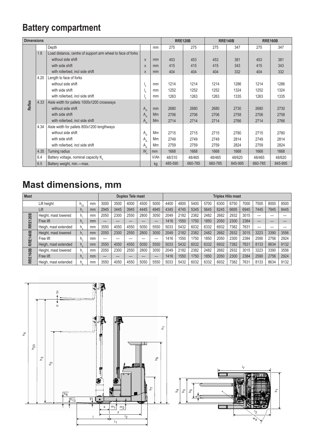### **Battery compartment**

| <b>Dimensions</b> |         |                                                             |                 |      |         | <b>RRE120B</b> |         | <b>RRE140B</b> | <b>RRE160B</b> |         |  |
|-------------------|---------|-------------------------------------------------------------|-----------------|------|---------|----------------|---------|----------------|----------------|---------|--|
|                   |         | Depth                                                       |                 | mm   | 275     | 275            | 275     | 347            | 275            | 347     |  |
|                   | 1.8     | Load distance, centre of support arm wheel to face of forks |                 |      |         |                |         |                |                |         |  |
|                   |         | without side shift                                          | $\mathsf{X}$    | mm   | 453     | 453            | 453     | 381            | 453            | 381     |  |
|                   |         | with side shift                                             | $\mathsf{X}$    | mm   | 415     | 415            | 415     | 343            | 415            | 343     |  |
|                   |         | with rollerbed, incl side shift                             | X               | mm   | 404     | 404            | 404     | 332            | 404            | 332     |  |
|                   | 4.20    | Length to face of forks                                     |                 |      |         |                |         |                |                |         |  |
|                   |         | without side shift                                          |                 |      | 1214    | 1214           | 1214    | 1286           | 1214           | 1286    |  |
|                   |         | with side shift                                             | $I_{2}$         | mm   | 1252    | 1252           | 1252    | 1324           | 1252           | 1324    |  |
| Reflex            |         | with rollerbed, incl side shift                             | $\mathsf{I}_2$  | mm   | 1263    | 1263           | 1263    | 1335           | 1263           | 1335    |  |
|                   | 4.33    | Aisle width for pallets 1000x1200 crossways                 |                 |      |         |                |         |                |                |         |  |
|                   |         | without side shift                                          | A <sub>st</sub> | mm   | 2680    | 2680           | 2680    | 2730           | 2680           | 2730    |  |
|                   |         | with side shift                                             | A <sub>st</sub> | Mm   | 2706    | 2706           | 2706    | 2758           | 2706           | 2758    |  |
|                   |         | with rollerbed, incl side shift                             | A <sub>st</sub> | Mm   | 2714    | 2714           | 2714    | 2766           | 2714           | 2766    |  |
|                   | 4.34    | Aisle width for pallets 800x1200 lengthways                 |                 |      |         |                |         |                |                |         |  |
|                   |         | without side shift                                          | A <sub>st</sub> | Mm   | 2715    | 2715           | 2715    | 2780           | 2715           | 2780    |  |
|                   |         | with side shift                                             | A <sub>st</sub> | Mm   | 2749    | 2749           | 2749    | 2814           | 2749           | 2814    |  |
|                   |         | with rollerbed, incl side shift                             | $A_{st}$        | Mm   | 2759    | 2759           | 2759    | 2824           | 2759           | 2824    |  |
|                   | 4.35    | Turning radius                                              | $W_a$           | mm   | 1668    | 1668           | 1668    | 1668           | 1668           | 1668    |  |
|                   | 6.4     | Battery voltage, nominal capacity $K_{\epsilon}$            |                 | V/Ah | 48/310  | 48/465         | 48/465  | 48/620         | 48/465         | 48/620  |  |
|                   | $6.5\,$ | Battery weight, min.-max.                                   |                 | kg   | 485-590 | 660-785        | 660-785 | 845-995        | 660-785        | 845-995 |  |

## **Mast dimensions, mm**

| <b>Mast</b>                      |                      |          |                |      | Duplex Tele mast |      |      |      | <b>Triplex Hilo mast</b> |      |      |      |      |      |      |      |      |      |
|----------------------------------|----------------------|----------|----------------|------|------------------|------|------|------|--------------------------|------|------|------|------|------|------|------|------|------|
|                                  | Lift height          | $h_{23}$ | mm             | 3000 | 3500             | 4000 | 4500 | 5000 | 4400                     | 4800 | 5400 | 5700 | 6300 | 6750 | 7000 | 7500 | 8000 | 8500 |
|                                  | Lift                 | h,       | mm             | 2945 | 3445             | 3945 | 4445 | 4945 | 4345                     | 4745 | 5345 | 5645 | 6245 | 6695 | 6945 | 7445 | 7945 | 8445 |
| <b>RRE120B</b><br><b>RRE140B</b> | Height, mast lowered | h.       | mm             | 2050 | 2300             | 2550 | 2800 | 3050 | 2049                     | 2182 | 2382 | 2482 | 2682 | 2932 | 3015 | __   |      |      |
|                                  | Free lift            | h,       | m <sub>m</sub> |      | __               | –    |      |      | 1416                     | 1550 | 1750 | 1850 | 2050 | 2300 | 2384 |      |      |      |
|                                  | Heigh, mast extended | $h_a$    | mm             | 3550 | 4050             | 4550 | 5050 | 5550 | 5033                     | 5432 | 6032 | 6332 | 6932 | 7382 | 7631 |      |      |      |
|                                  | Height, mast lowered | h,       | mm             | 2050 | 2300             | 2550 | 2800 | 3050 | 2049                     | 2182 | 2382 | 2482 | 2682 | 2932 | 3015 | 3223 | 3390 | 3556 |
|                                  | Free lift            | h,       | mm             |      |                  |      |      |      | 1416                     | 1550 | 1750 | 1850 | 2050 | 2300 | 2384 | 2590 | 2756 | 2924 |
|                                  | Heigh, mast extended | h.       | mm             | 3550 | 4050             | 4550 | 5050 | 5550 | 5033                     | 5432 | 6032 | 6332 | 6932 | 7382 | 7631 | 8133 | 8634 | 9132 |
| <b>RRE160B</b>                   | Height, mast lowered | h.       | mm             | 2050 | 2300             | 2550 | 2800 | 3050 | 2049                     | 2182 | 2382 | 2482 | 2682 | 2932 | 3015 | 3223 | 3390 | 3556 |
|                                  | Free lift            | h,       | m <sub>m</sub> |      | –                | –    |      |      | 1416                     | 1550 | 1750 | 1850 | 2050 | 2300 | 2384 | 2590 | 2756 | 2924 |
|                                  | Heigh, mast extended | h.       | mm             | 3550 | 4050             | 4550 | 5050 | 5550 | 5033                     | 5432 | 6032 | 6332 | 6932 | 7382 | 7631 | 8133 | 8634 | 9132 |